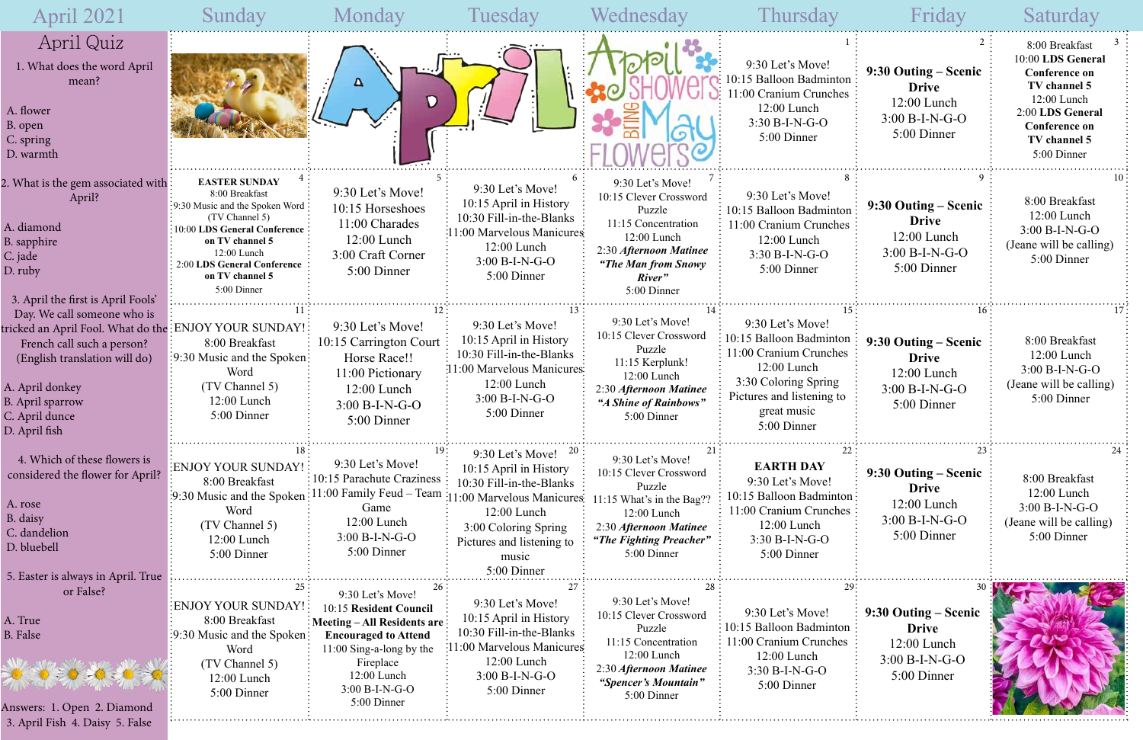|                              | Frida                                                                                                      | Saturda                                                                                                                                                                    |
|------------------------------|------------------------------------------------------------------------------------------------------------|----------------------------------------------------------------------------------------------------------------------------------------------------------------------------|
| $\mathbf{1}$<br>ıton<br>hes  | $\overline{2}$<br>9:30 Outing – Scenic<br><b>Drive</b><br>$12:00$ Lunch<br>$3:00 B-I-N-G-O$<br>5:00 Dinner | 3<br>8:00 Breakfast<br>10:00 LDS General<br><b>Conference on</b><br>TV channel 5<br>12:00 Lunch<br>2:00 LDS General<br><b>Conference on</b><br>TV channel 5<br>5:00 Dinner |
| 8<br>ıton<br>hes             | 9<br>9:30 Outing – Scenic<br><b>Drive</b><br>12:00 Lunch<br>$3:00 B-I-N-G-O$<br>5:00 Dinner                | 10<br>8:00 Breakfast<br>12:00 Lunch<br>$3:00 B-I-N-G-O$<br>(Jeane will be calling)<br>5:00 Dinner                                                                          |
| 15<br>ıton<br>hes<br>g<br>to | 16<br>9:30 Outing – Scenic<br><b>Drive</b><br>12:00 Lunch<br>$3:00 B-I-N-G-O$<br>5:00 Dinner               | 17<br>8:00 Breakfast<br>12:00 Lunch<br>$3:00 B-I-N-G-O$<br>(Jeane will be calling)<br>5:00 Dinner                                                                          |
| 22<br>ıton<br>hes            | 23<br>9:30 Outing – Scenic<br><b>Drive</b><br>$12:00$ Lunch<br>$3:00 B-I-N-G-O$<br>5:00 Dinner             | 24<br>8:00 Breakfast<br>$12:00$ Lunch<br>$3:00 B-I-N-G-O$<br>(Jeane will be calling)<br>5:00 Dinner                                                                        |
| 29:<br>ton<br>nes            | 30<br>9:30 Outing – Scenic<br><b>Drive</b><br>$12:00$ Lunch<br>$3:00 B-I-N-G-O$<br>5:00 Dinner             |                                                                                                                                                                            |

| <b>April 2021</b>                                                                                                                                                                                          | Sunday                                                                                                                                                                                                                         | Monday                                                                                                                                                                                                      | Tuesday                                                                                                                                                                                                  | Wednesday                                                                                                                                                             | Thursday                                                                                                                                                                | Friday                                                                                 | Saturday                                                                                                                                                              |
|------------------------------------------------------------------------------------------------------------------------------------------------------------------------------------------------------------|--------------------------------------------------------------------------------------------------------------------------------------------------------------------------------------------------------------------------------|-------------------------------------------------------------------------------------------------------------------------------------------------------------------------------------------------------------|----------------------------------------------------------------------------------------------------------------------------------------------------------------------------------------------------------|-----------------------------------------------------------------------------------------------------------------------------------------------------------------------|-------------------------------------------------------------------------------------------------------------------------------------------------------------------------|----------------------------------------------------------------------------------------|-----------------------------------------------------------------------------------------------------------------------------------------------------------------------|
| April Quiz<br>1. What does the word April<br>mean?<br>A. flower<br>B. open<br>C. spring<br>D. warmth                                                                                                       |                                                                                                                                                                                                                                | D                                                                                                                                                                                                           |                                                                                                                                                                                                          |                                                                                                                                                                       | 9:30 Let's Move!<br>10:15 Balloon Badminton<br>11:00 Cranium Crunches<br>12:00 Lunch<br>$3:30 B-I-N-G-O$<br>5:00 Dinner                                                 | 9:30 Outing – Scenic<br><b>Drive</b><br>12:00 Lunch<br>$3:00 B-I-N-G-O$<br>5:00 Dinner | 8:00 Breakfast<br>10:00 LDS General<br><b>Conference on</b><br>TV channel 5<br>12:00 Lunch<br>2:00 LDS General<br><b>Conference on</b><br>TV channel 5<br>5:00 Dinner |
| 2. What is the gem associated with<br>April?<br>A. diamond<br>B. sapphire<br>C. jade<br>D. ruby<br>3. April the first is April Fools'                                                                      | <b>EASTER SUNDAY</b><br>8:00 Breakfast<br>:9:30 Music and the Spoken Word<br>(TV Channel 5)<br>10:00 LDS General Conference<br>on TV channel 5<br>12:00 Lunch<br>2:00 LDS General Conference<br>on TV channel 5<br>5:00 Dinner | 9:30 Let's Move!<br>10:15 Horseshoes<br>11:00 Charades<br>$12:00$ Lunch<br>3:00 Craft Corner<br>5:00 Dinner                                                                                                 | 9:30 Let's Move!<br>10:15 April in History<br>10:30 Fill-in-the-Blanks<br>11:00 Marvelous Manicures<br>12:00 Lunch<br>$3:00 B-I-N-G-O$<br>5:00 Dinner                                                    | 9:30 Let's Move!<br>10:15 Clever Crossword<br>Puzzle<br>11:15 Concentration<br>12:00 Lunch<br>2:30 Afternoon Matinee<br>"The Man from Snowy"<br>River"<br>5:00 Dinner | 9:30 Let's Move!<br>10:15 Balloon Badminton<br>11:00 Cranium Crunches<br>12:00 Lunch<br>3:30 B-I-N-G-O<br>5:00 Dinner                                                   | 9:30 Outing – Scenic<br><b>Drive</b><br>12:00 Lunch<br>$3:00 B-I-N-G-O$<br>5:00 Dinner | 8:00 Breakfast<br>12:00 Lunch<br>$3:00 B-I-N-G-O$<br>(Jeane will be calling)<br>5:00 Dinner                                                                           |
| Day. We call someone who is<br>tricked an April Fool. What do the<br>French call such a person?<br>(English translation will do)<br>A. April donkey<br>B. April sparrow<br>C. April dunce<br>D. April fish | ENJOY YOUR SUNDAY!<br>8:00 Breakfast<br>:9:30 Music and the Spoken:<br>Word<br>(TV Channel 5)<br>12:00 Lunch<br>5:00 Dinner                                                                                                    | 9:30 Let's Move!<br>10:15 Carrington Court<br>Horse Race!!<br>11:00 Pictionary<br>$12:00$ Lunch<br>$3:00 B-I-N-G-O$<br>5:00 Dinner                                                                          | 9:30 Let's Move!<br>10:15 April in History<br>10:30 Fill-in-the-Blanks<br>:11:00 Marvelous Manicures:<br>12:00 Lunch<br>3:00 B-I-N-G-O<br>5:00 Dinner                                                    | 9:30 Let's Move!<br>10:15 Clever Crossword<br>Puzzle<br>11:15 Kerplunk!<br>12:00 Lunch<br>2:30 Afternoon Matinee<br>"A Shine of Rainbows"<br>5:00 Dinner              | 9:30 Let's Move!<br>10:15 Balloon Badminton<br>11:00 Cranium Crunches<br>12:00 Lunch<br>3:30 Coloring Spring<br>Pictures and listening to<br>great music<br>5:00 Dinner | 9:30 Outing – Scenic<br><b>Drive</b><br>12:00 Lunch<br>$3:00 B-I-N-G-O$<br>5:00 Dinner | 8:00 Breakfast<br>12:00 Lunch<br>$3:00 B-I-N-G-O$<br>(Jeane will be calling)<br>5:00 Dinner                                                                           |
| 4. Which of these flowers is<br>considered the flower for April?<br>A. rose<br>B. daisy<br>C. dandelion<br>D. bluebell<br>5. Easter is always in April. True                                               | ENJOY YOUR SUNDAY! :<br>8:00 Breakfast<br>9:30 Music and the Spoken<br>Word<br>(TV Channel 5)<br>12:00 Lunch<br>5:00 Dinner                                                                                                    | 9:30 Let's Move!<br>: 10:15 Parachute Craziness<br>$\frac{1}{2}$ 11:00 Family Feud – Team<br>Game<br>12:00 Lunch<br>$3:00 B-I-N-G-O$<br>5:00 Dinner                                                         | 9:30 Let's Move! $^{20}$<br>10:15 April in History<br>10:30 Fill-in-the-Blanks<br>:11:00 Marvelous Manicures<br>12:00 Lunch<br>3:00 Coloring Spring<br>Pictures and listening to<br>music<br>5:00 Dinner | 9:30 Let's Move!<br>10:15 Clever Crossword<br>Puzzle<br>11:15 What's in the Bag??<br>12:00 Lunch<br>2:30 Afternoon Matinee<br>"The Fighting Preacher"<br>5:00 Dinner  | <b>EARTH DAY</b><br>9:30 Let's Move!<br>10:15 Balloon Badminton:<br>11:00 Cranium Crunches<br>12:00 Lunch<br>$3:30 B-I-N-G-O$<br>5:00 Dinner                            | 9:30 Outing – Scenic<br><b>Drive</b><br>12:00 Lunch<br>$3:00 B-I-N-G-O$<br>5:00 Dinner | 8:00 Breakfast<br>12:00 Lunch<br>3:00 B-I-N-G-O<br>(Jeane will be calling)<br>5:00 Dinner                                                                             |
| or False?<br>A. True<br><b>B.</b> False<br>Answers: 1. Open 2. Diamond<br>3. April Fish 4. Daisy 5. False                                                                                                  | ENJOY YOUR SUNDAY!<br>8:00 Breakfast<br>:9:30 Music and the Spoken:<br>Word<br>(TV Channel 5)<br>12:00 Lunch<br>5:00 Dinner                                                                                                    | 9:30 Let's Move!<br>10:15 Resident Council<br>: Meeting $-$ All Residents are :<br><b>Encouraged to Attend</b><br>$11:00$ Sing-a-long by the<br>Fireplace<br>12:00 Lunch<br>$3:00 B-I-N-G-O$<br>5:00 Dinner | 9:30 Let's Move!<br>10:15 April in History<br>10:30 Fill-in-the-Blanks<br>11:00 Marvelous Manicures<br>12:00 Lunch<br>$3:00 B-I-N-G-O$<br>5:00 Dinner                                                    | 9:30 Let's Move!<br>10:15 Clever Crossword<br>Puzzle<br>11:15 Concentration<br>$12:00$ Lunch<br>2:30 Afternoon Matinee<br>"Spencer's Mountain"<br>5:00 Dinner         | 9:30 Let's Move!<br>10:15 Balloon Badminton<br>11:00 Cranium Crunches<br>12:00 Lunch<br>$3:30 B-I-N-G-O$<br>5:00 Dinner                                                 | 9:30 Outing – Scenic<br><b>Drive</b><br>12:00 Lunch<br>$3:00 B-I-N-G-O$<br>5:00 Dinner |                                                                                                                                                                       |